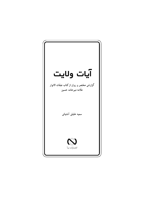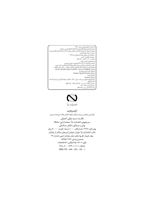.<br>سرشناسه: خلیلی آشتیانی، سمیه، ۱۳۶۰ عنوان قراردادي:عبقاتالانوار في امامة الائمة الاطهار. فارسي. برگزيده عنوان و پدیداور: اَیات وِلایت: گزارشی مختصر و روان از کتاب عبقات الانوار علّامه میرحامد رت<br>حسین /سمیه خلیلی اَشْتیانی. مشخصات نشر: تهران:مؤسسه فرهنگی نبأ، ۱۳۹۷. مساحسات مسر، نهران، موسسه ترتیب<br>مشخصات ظاهری: ۸۰ ص.<br>شابک: ۱ ـ ۲۰۲ ـ ۲۶۴ ـ ۶۰۰ ـ ۹۷۸ وضعيت فهرست نويسي: فيپا و حسیت نهر ست و سبی، سپه<br>یادداشت: کتابنامه: ص ۶۳ ـ ۶۸؛ همچنین به صورت; یرنویس.<br>عنوان دیگر: گزارشی مختصر و روان از کتاب عبقاتالانوار علامه میرحامد حسین. رت<br>موضوع: علي بن ابي طالب السِّيِّة، أمام أول، ٢٣ قبل از هجرت ـ ٤٠ ق ـ أثبات خلافت. Ali ibn Abi-talib, Imam I, 600-661 - Proof of caliphate . موضوع: .<br>موضوع: احاديث خاص(ولايت) Hadiths, Special (Velayat) :موضوع: ، .<br>موضوع: امامت. ۔<br>موضوع: Imamate شناسه افزوده: کنتوری، میرحامد حسین، ۱۸۳۰ ـ ۱۸۸۸ م. عبقاتالانوار فـی اثـبات الامـامة الائمة الاطهار. .. سهسه ...<br>ردهبندی کنگره: ک ۹ ع ۲ - ۴۷۱۲۴ ( ۷۹۳ / ۲۹۳ BP<br>شماره کنابشناسی ملی: ۴۵/ ۵۵۲<br>شماره کتابشناسی ملی: ۵۵۲۰۸۳۰



#### آيات ولايت

گزارشی مختصر و روان از کتاب عبقات الانوار علّامه میرحامد حسین نگارنده: سميه خليلي آشتياني حروفچيني: انتشارات نبأ /صفحه آرايي: مشكاة چاپ و صحّافی: دالاهو، صالحانی چاپ اوّل: ۱۳۹۷ /شمارگان: ۱۰۰۰ نسخه /قیمت: ۴۰۰۰۰ ریال ناشر: انتشارات نبأ / تهران، خيابان شريعتي، بالاتر از خيابان بهار شیراز، کوچه مقدم، نبش خیابان ادیبی، شماره ۲۶ صندوق پستي: ١٥۶۵۵/ ٢٧٧ تلفن: ٧٧٥٠۶۶٠٢ فاكس: ٧٧٥٣٥٧٧۶ شابک: ١ - ٢٠٢- ٢۶۴ - ٩٧٨- ٩٧٨ ISBN 978 - 600 - 264 - 102 - 1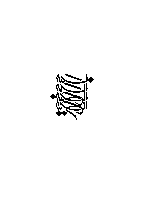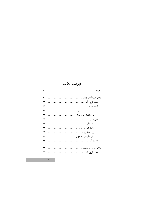# فهرست مطالب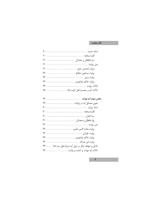| ۲۰                                    |
|---------------------------------------|
| الف) صحابه  ٢٠                        |
|                                       |
|                                       |
| ۲۱                                    |
|                                       |
|                                       |
| روايت حاكم نيشابوري  ٢٣               |
| ۲۴                                    |
| دلالت آيه بر عصمت اهل البيت الخِلا ٢۵ |
|                                       |
|                                       |
| تعيين مصداق آيه در روايات  ٢٩         |
| ۳۰                                    |
| ۳۰                                    |
| ۳۰                                    |
| ٣١                                    |
|                                       |
|                                       |

| روايت محبّ الدين طبرى  ٣٢                           |
|-----------------------------------------------------|
|                                                     |
|                                                     |
|                                                     |
| دلایل و شواهد دیگر بر نزول آیه دربارهٔ اهل بیت ﷺ ٣۴ |
| دلالت آيه مودّت بر امامت و ولايت ٣٧                 |

 $\mathcal{A}$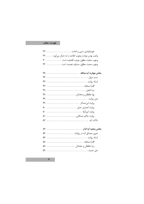# .<br>فهرست مطالب

| واجب بودن مودّت، وجوب اطاعت را به دنبال می آورد ٣٩ |
|----------------------------------------------------|
|                                                    |
| وجوب محبت مطلق، مستلزم عصمت است ٣٢                 |
|                                                    |
|                                                    |
|                                                    |
|                                                    |
|                                                    |
|                                                    |
|                                                    |
|                                                    |
|                                                    |
|                                                    |
|                                                    |
|                                                    |
|                                                    |
|                                                    |
|                                                    |
| تعيين مصداق أيه در روايات  ۵۷                      |
| اسناد روايت  ۵۷                                    |
| الف) صحابه  ۵۸                                     |
| ب) حافظان و محدثان  ۵۸                             |
|                                                    |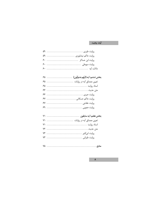| ۵۹                            |  |  |  |  |  |  |  |  |  |  |  |  |  |                     |  |  |  |  |  |
|-------------------------------|--|--|--|--|--|--|--|--|--|--|--|--|--|---------------------|--|--|--|--|--|
| ۵۹                            |  |  |  |  |  |  |  |  |  |  |  |  |  | روايت حاكم نيشابورى |  |  |  |  |  |
| ۶.                            |  |  |  |  |  |  |  |  |  |  |  |  |  |                     |  |  |  |  |  |
| ۶.                            |  |  |  |  |  |  |  |  |  |  |  |  |  |                     |  |  |  |  |  |
| ۶.                            |  |  |  |  |  |  |  |  |  |  |  |  |  |                     |  |  |  |  |  |
|                               |  |  |  |  |  |  |  |  |  |  |  |  |  |                     |  |  |  |  |  |
|                               |  |  |  |  |  |  |  |  |  |  |  |  |  |                     |  |  |  |  |  |
| تعیین مصداق آیه در روایات  ۶۵ |  |  |  |  |  |  |  |  |  |  |  |  |  |                     |  |  |  |  |  |
| ۶۵                            |  |  |  |  |  |  |  |  |  |  |  |  |  |                     |  |  |  |  |  |
| ۶۶                            |  |  |  |  |  |  |  |  |  |  |  |  |  |                     |  |  |  |  |  |
| ۶۶                            |  |  |  |  |  |  |  |  |  |  |  |  |  |                     |  |  |  |  |  |
| $5\gamma$                     |  |  |  |  |  |  |  |  |  |  |  |  |  | روايت حاكم حسكانى   |  |  |  |  |  |
| $5\gamma$                     |  |  |  |  |  |  |  |  |  |  |  |  |  |                     |  |  |  |  |  |
| ۶۹                            |  |  |  |  |  |  |  |  |  |  |  |  |  |                     |  |  |  |  |  |
|                               |  |  |  |  |  |  |  |  |  |  |  |  |  |                     |  |  |  |  |  |
|                               |  |  |  |  |  |  |  |  |  |  |  |  |  |                     |  |  |  |  |  |
| ۷١                            |  |  |  |  |  |  |  |  |  |  |  |  |  |                     |  |  |  |  |  |
| ۷١                            |  |  |  |  |  |  |  |  |  |  |  |  |  |                     |  |  |  |  |  |
| ٧٢                            |  |  |  |  |  |  |  |  |  |  |  |  |  |                     |  |  |  |  |  |
| ۷۳                            |  |  |  |  |  |  |  |  |  |  |  |  |  |                     |  |  |  |  |  |
| ٧٣                            |  |  |  |  |  |  |  |  |  |  |  |  |  |                     |  |  |  |  |  |
|                               |  |  |  |  |  |  |  |  |  |  |  |  |  |                     |  |  |  |  |  |
|                               |  |  |  |  |  |  |  |  |  |  |  |  |  |                     |  |  |  |  |  |

 $\pmb{\lambda}$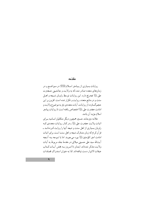#### مقدّمه

روایات بسیاری از پـیامبر اســلامﷺ در مــواضــع و در زمانهای متعدد صادر شده که به ولایت و جانشینی حـضرت على اللَّهِ تصريح دارد. اين روايات توسط راويان شـيعه و اهــل سنت و در منابع متعدد، روایت و تکرار شده است. افزون بر این حجم گسترده از روایات، آیات متعددی نیز به موضوع ولایت و امامت حضرت على إليَّا{ اختصاص يافته است تا روايات پيامبر اسلام مؤيد آن باشد.

علامه مبرحامد حسبن همچون دیگر متکلمان امـامیه بـرای اثبات ولايت حضرت على لِمَائِلِ -در كنار روايات متعددي كـه راویان بسیاری از اهل سنت و شیعه آنها را روایت کردهانـد ـ قرآن کریم که زبان مشترک شیعه و اهل سنت است، برای اثبات امامت امير المؤمنين ﷺ بهره ميجويد. اما با تــوجه بــه آنــچه آيتالله سيد على حسيني ميلاني در مقدمهٔ جلد مربوط به آيات ولايت متذكر شدهاند، ايشان تا امروز بـه بخش آيـات كـتاب عبقات الانوار دست نيافتهاند. لذا به عنوان استدراك مجلدات

 $\mathbf{q}$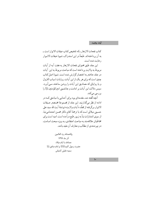كتاب نفحات الازهار \_كه تلخيص كتاب عبقات الانوار است \_ به آن پر داختهاند. طبعاً در این استدراک، شیوهٔ عبقات الانـوار ر عايت شده است. اين جلد طبق محتواي نفحات الازهار به هفت آيه از آيات مربوط به ولايت پر داخته است كه مباحث مربوط به اين آيات در جلد حاضر به اختصار گزارش شده است. شیوهٔ اصل کتاب چنین است که برای هر یک از این آیات، روایات اسباب النزول و یا روایاتی که مصادیق این آیات را روشن ساخته، مبی آورد. سبس دلالت این آیات بر امامت و جانشینی امبرالمؤمنین اللهٔ را بررسي ميكند. آنچه گفته شد، مقدمهای بود برای آشنایی با مباحثی کـه در ادامه از نظر مے گذارنید. این جلد از مجموعهٔ مختصر عبقات الانوار، بر گر فته از مجلَّد «آيات ولايت» نوشتهٔ آيت الله سيد على حسینی میلانی است که با ترجمهٔ آقای دکتر محسن احتشامی نیا، از سوی انتشارات نبأ به زیور طبع درآمده است. امید است برای مخاطبان علاقهمند به مباحث اعتقادي، به ويژه مبحث امـامت،

در بهر همندی از مطالب و معارف آن مفید باشد.

والحمدلله ربّ العالمين آذر ماه ١٣٩٧ مصادف با ايام ميلاد حضرت رسول اكرم ﷺ و امام صادق ﷺ سميه خليلى أشتيانى

 $\mathcal{V}$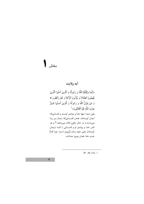# بخش ا

# أيه ولايت

﴿إِنَّما وَلِيُّكُمُ اللَّهُ وَ رَسُولُهُ وَ الَّذِينَ آمَنُوا الَّذِينَ يُقِيمُونَ الصَّلاةَ وَ يُؤْتُونَ الزَّكاةَ وَ هُمْ راكِعُونَ ۞ وَ مَنْ يَتَوَلَّ اللَّهَ وَ رَسُولَهُ وَ الَّذِينَ آمَـنُوا فَـاِنَّ حِزْبَ اللَّهِ هُمُ الْغَالِبُونَ﴾ ` ولیّ شما، تنها خدا و پیامبر اوست و کسانیکه ایمان آوردهاند؛ همان کسـانیکه نـماز بـر پـا میدارند و در حال رکوع زکات میدهند.\* و هر کس خدا و پیامبر او و کســانی را کــه ایــمان آوردهاند، ولیّ خود بداند [پیروز است، چرا که] جزب خدا همان ييروز مندانند.

۰۱ مائده، ۵۵ ـ ۵۶.

 $\mathcal{V}$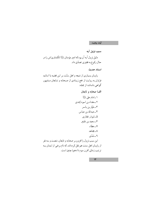سبب نزول آيه دلیل نزول آیه آن بودکه امیر مؤمنان الرای انگشتریاش را در حال رکوع به فقیری تصدّق داد.

اسناد حديث

الف) صحابه و تابعان

 $\mathcal{N}$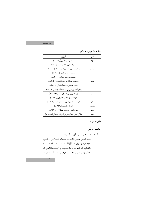آیہ ولایت

|  |  | ب) حافظان و محدثان |  |
|--|--|--------------------|--|
|--|--|--------------------|--|

| نام راوي                                          | قرن   |
|---------------------------------------------------|-------|
| عبدبن حمید کشّی (م ۲۴۹ هـ)                        | سوم   |
| احمدبن يحيى بلاذري (م بعد از ٢٧٠ هـ)              |       |
| ابو عبدالرحمن احمد بن شعيب نَسائي (م ٣٠٣ هـ)      | چهارم |
| محمدبن جرير طبري (م ٣١٠ هـ)                       |       |
| سلیمان بن احمد طبرانی (م ۳۶۰ هـ)                  |       |
| محمدبن عبدالله حاكم نيشابوري (م ۴۰۵ هـ)           | پنجم  |
| أبونُعَيم احمدبن عبدالله اصفهاني (م ۴۳۰ هـ)       |       |
| ابوبکر احمدبن علی بن ثابت، خطیب بغدادی (م ۴۶۳ هـ) |       |
| ابوالحسن رزين عبدري اندلسي (م ۵۳۵ هـ)             | ششم   |
| ابوالقاسم جار الله زمخشرى (م ۵۸۳ هـ)              |       |
| ابوالسعادت مباركبن محمد ابن اثير (م ۶۰۶ هـ)       | هفتم  |
| ابوحيّان اندلسي (م ٧۵۴ هـ)                        | هشتم  |
| شهاب الدين ابن حجر عسقلاني (م ٨٥٢ هـ)             | نهم   |
| جلال الدين عبدالرحمن بن ابي بكر سيوطى (م ٩١١ هـ)  | دهم   |

متن حديث

روایت ابناثیر

 $\mathcal{N}$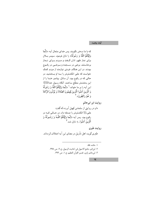۰۱ مائده، ۵۵.

٢. ابن|ثیر، جامع الاصول فی احادیث الرسول، ج ٩، ص ۴۷۸. ۰۳ ابی حاتم رازی، تفسیر القرآن العظیم، ج ۰۱ ص ۳۹۳.

 $\sqrt{\xi}$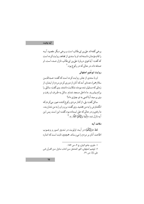#### آيه ولايت

برخي گفتهاند علي بن ابي طالب است و برخي ديگر مقصود آيــه را قام مؤمنان دانستهاند؛ او با سندی از مجاهد روایت کر ده است كه گفت: آيهٔ فوق دربارهٔ علىبن ابي طالب نازل شـده است، او صدقه داد، در حالي كه در ركوع بود. ١ روايت ابونُعَيم اصفهانى او با سندی از جابر روایت کر ده است که گفت: عـبداللهبـن سلام همراه عدهاي آمدكه آنان از دوري كردن مردم از ايشان، از زماني كه مسلمان شده بودند شكايت داشتند. وي گفت: سائلي را برايم بياوريد. ما داخل مسجد شديم. سائل به طـرف او رفت و وي پرسيد:آياکسي به تو چيزې داد؟ سائل گفت: بلي، از كنار مردي ركوع كننده عبور مىكردم كه انگشترش را به من بخشید. وی گفت: برو و او را به من نشان بده. ما رفتم و در حالي كه على ايستاده بود، گفت: اين است. پس اين آيه نازل شد: ﴿إِنَّما وَلِيُّكُمُ اللَّهُ...﴾. ٢

دلالت آيه

لفظ «وَلِيُّكُمُ» در آيــه، اولويت در تــدببر امــور و وجــوب اطاعت آنان بر مردم را مىرساند. همچنین ثابت است كه اشاره

٠١. طبري، جامع البيان، ج ۶، ص ١٨۶. ٢. ابونعيم اصفهاني، النور المشتعل مـن كـتاب مـانزل مـن القـرآن فـي على ﷺ، ص ۶۱.

 $\overline{0}$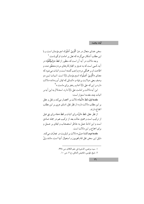سخن خدای متعال در ﴿وَ الَّذِينَ آمَنُوا﴾ امبرمؤمنان است و با این مطلب آشکار میگردد که نصّ بر امامت او گویاست. ۱ وجه دلالت در آيه آن است که منظور از لفظ «وَلِـــُّنِگُمُ» در آیه، کسی است که به تدبیر و انجام کارهای مردم متحقّق شده و اطاعت او بر همگی مر دم واجب گشته است و اثبات می شود که معناي ﴿الَّذِينَ آمَنُوا ﴾ امير مؤمنان ﷺ است. اثبيات ابن دو وصف یعنی «ولایت بر شما» و «کسانی که ایمان آوردهاند» دلالت دارد بر این که علی الله امام و رهبر برای ماست.» <sup>۲</sup> این آیه دلالت بر امامت علی الخُلاِّ دارد. استدلال به این آیه بر اثبات چند مقدمه استوار است: مقدمهٔ اول: لفظ «انَّما» دلالت بر انحصار مے کند و نقل و عقل بر این مطلب دلالت دارد؛ از نظر نقل، ادبای عربی بر این مطلب اجماع دارند. از نظر عقل، لفظ «انّ» براي اثبات و لفظ «ما» براي نني قبل از ترکیب است و همین حالت بعد از ترکیب هم در جمله صادق است و این ادامهٔ عمل به خاطر استصحاب و ابقای بر عـمل و

براي اجماع بر اين دلالت است. مقدمهٔ دوم: کلمهٔ «ولی» دلالت بر اولویت در تصرّف میکند.

دليل اين سخن نقل تمام لغويون و استعمال آنها است، مانند وليّ

١. سيد مرتضى، الذخيرة في علم الكلام، ص ۴۳۸. ٢. شيخ طوسي، تلخيص الشافي، ج ٢، ص ١٠.

 $17$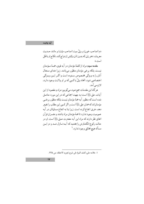#### آيه ولايت

دم (صاحب خون) و وليّ ميت (صاحب ميّت) و مانند حـديث معروف: «هر زني كه بدون اذن وليّش ازدواج كند، نكاح او باطل است.»

مقدمه سوم: مراد از کلمهٔ مؤمنان در آیه فوق، همـهٔ مـؤمنان نیست، بلکه برخی مؤمنان منظور میباشد. زیرا خدای مـتعال آنان را به ويژگي مخيصوص سيتو ده است و اگير اين وييژگي اختصاصي شود، اتحاد وليّ باكسي كه بر او ولايت وجود دارد، لازم مي آمد.

هر گاه اين مقدمات جمع شود، مي گوييم: مراد و مقصود از اين آيات، على لمائِلِ است؛ به جهت اجماعي كه در اين مورد حاصل شده است که منظور آيه همهٔ مؤمنان نيست بلکه منظور برخبي مؤمناناند كه همان على اللَّهِ إست و اگر كسي اين مطلب را تغيير دهد، خرق اجماع كرده است. زيرا بنا به اجماع مسلمانان در آيه عموميت وجود ندارد تا همهٔ مؤمنان مراد باشند و مفسران قرآن اتفاق نظر دارند که مراد این آیه حضرت عـلی الله است. او در حالت رکوع انگشترش را بخشید که آیـه نـازل شـد و در ایـن مسأله هيج مخالفي وجود ندارد. ١

١. علامه حلى، كشف المراد في شرح تجريد الاعتقاد، ص ٢٢۵.

 $\gamma$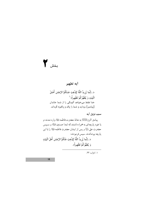# $\sum_{i=1}^{n}$

# أيه تطهير

سبب نزول آيه

۰۱ احزاب، ۳۳.

 $\overline{19}$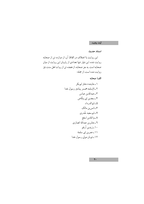اسناد حديث

الف) صحابه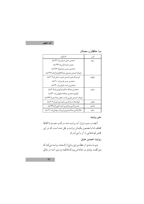آیہ تطھیر

#### ب) حافظان و محدثان

| نام راوي                                          | قرن   |
|---------------------------------------------------|-------|
| احمدبن حنبل شيباني (م ٢۴١ هـ)                     | سوم   |
| عبدبن حمیدکشّی (م ۲۴۹ هـ)                         |       |
| محمدبن عيسى ترمِذي(م ٢٧٩ هـ)                      |       |
| ابوبكر احمدبن عمروبن عبدالخالق (بزّار) (م ٢٩٢ هـ) |       |
| ابو عبدالرحمن احمدبن شعيب نَسائي (م ٣٠٣ هـ)       | چهارم |
| محمدبن جریر طبری (م ۳۱۰ هـ)                       |       |
| سلیمانبن احمد طبرانی (م ٣۶٠ هـ)                   |       |
| محمدبن عبدالله حاكم نيشابوري (م ۴۰۵ هـ)           | پنجم  |
| أبونُعَيم احمدبن عبدالله اصفهاني (م ۴۳۰ هـ)       |       |
| ابوبکر احمدبن علیبن ثابت، خطیب بغدادی (م ۴۶۳ هـ)  |       |
| ابوالسعادت مباركبن محمد ابن اثير (م ۶۰۶ هـ)       | هفتم  |
| شمس الدين محمدبن احمد ذهبي (م ٧۴٨ هـ)             | هشتم  |
| جلال الدین عبدالرحمن بن ابی بکر سیوطی (م ۹۱۱ هـ)  | دهم   |

#### متن روايت

آنچه در سبب نزول آيه روايت شد، در كتب حديث با الفاظ مختلف اما با مضمون يكسان روايت و نقل شده است، كه در اين بخش نمونههايي از آن را مي آوريم.

## روايت احمدبن حنبل

وی با سندی از عطاءبن ابی رباح از امّسلمه روایت میکندکه وي گفت: پيامبر در خانهاش بودكه فاطمه نزدوي آمد؛ در حالي

 $\mathbf{y}$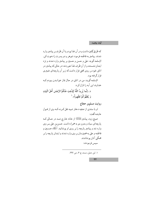كه ظر في گِلين داشت و در آن غذا بود و با آن ظر ف بر پيامبر وارد شدند. پيامبر به فاطمه فرمود: شوهر و دو پسرت را دعوت كن. امّ سلمه گويد: على و حسن و حسين بر پيامبر وارد شدند و نزد ایشان نشستند و از آن ظر ف غذا خو ردند؛ در حالی که پیامبر در اتاق خود بر روی تختی قرار داشت که زیر آن پارچهای خیبری قرار گرفته بود. امّسلمه گويد: من در اتاق در حال نماز خوانـدن بـودم كـه خداوند اين آيه را نازل كرد: ﴿...إِنَّما يُرِيدُ اللَّهُ لِيُذْهِبَ عَنْكُمُ الرِّجْسَ أَهْلَ الْبَيْتِ وَ يُطَهِّرَكُمْ تَطْهِيراً﴾. ` روايت مسلمبن حجّاج او با سندی از صفیه دختر شیبه نقل که ده کـه وی از قـول عاىشەگفت: صبح زود. پیامبرﷺ از خانه خارج شــد در حــالی کــه پارچهاي سياه و بدون مو به همراه داشت. حسن بن علي بـر وي وارد شد و پیامبر پارچه را بر روی او پوشانید. آنگاه حســین و فاطمه و علي به همينسان بر وي وارد شدند و ايشان يارچه را بر همگي آنان پوشاندند. سپس فرمودند: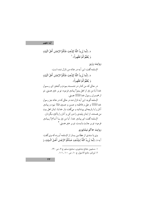آيه تطهير

روايت رزين امِّسلمه گفت: این آیه در خانه من نازل شده است: ﴿...إِنَّما يُرِيدُ اللَّهُ لِيُذْهِبَ عَنْكُمُ الرِّجْسَ أَهْلَ الْبَيْتِ وَ يُطَهِّرَكُمْ تَطْهِيراً﴾. در حالي كه من كنار در نشسـته بـودم و گـفتم: اي رسـول خدا،آيا من نيز از اهل بيتم؟ پيامبر فرمود: تو بر خير هستي، تو از همسران رسول خداءَ الثَّاثِيَّةَ هستي. امّسلمه گويد: اين آيه نازل شد در حالي كه در خانه جز رسول خداﷺ و على و فاطمه و حسن و حسين القِيْلَةُ نبود و ييامبر آنان را با پارچهای پوشانید و مے گفت: بار خدایا، اینان اهل بیت من هستند، از اینان پلیدی را دور کن و آنان را پاکیزه بگر دان. امِّسلمه گفت: اي بيامبر خدا، آيا من نيز بـا آنــانم؟ بـيامبر فرمود: تو بر جايت بايست، تو بر خبر هستي.٢ روايت حاكم نيشابوري

وي با سندي از عطاءين پسار از امِّسلمه آورده كه وي گفت: آيه ﴿...إِنَّما يُرِيدُ اللَّهُ لِـيُذْهِبَ عَـنْكُمُ الرِّجْسَ أَهْـلَ الْـبَيْتِ وَ

> ١. مسلمبن حجاج نيشابوري، صحيح مسلم، ج ٧، ص ١٣٠. ٢. ابن اثير، جامع الاصول، ج ١٠٠ ص ١٠٠ ـ ١٠١.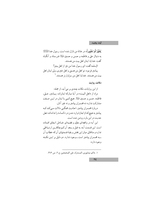دلالت روايت

٠. حاكم نيشابوري، المستدرك على الصحيحين، ج ٢، ص ٣١۶.

 $Y\xi$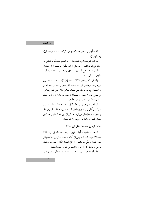#### آیہ تطھیر

الف) آوردن ضمیر «عنکم» و «یطهّرکم»، نه ضمیر «عنکنّ» و «بطهر کنّ» در آيهٔ شريفه با برداشته شدن آيهٔ تطهير هيچگونه تـغييري

ايجاد في شود، اتصال آية قبل از آيه تطهير با بـعد از آن كــاملاً حفظ مي شود و هيچ اختلافي به مفهوم آيه با برداشته شدن آيــه تطهير پيدا نمي شود.

پاسخي كه پـيامبر ﷺ بـه سـؤال امّسـلمه مـيدهد. وي می خواهد از «اهل البیت» باشد، امّا پیامبر پاسخ میدهد که تو از همسران پیامبری، نه اهل بـیت پـیامبر. از ایـن کـار پـیامبر میفهمیم که بین مفهوم و مصداق «همسران پیامبر» و «اهل بیت بيامين» تفاوت اساسي وجود دارد.

اینکه پیامبر در زمانی طـولانی از در خـانهٔ فـاطمه عـبور مي كر د و آنان را با عنوان «اهل البيت» مورد خطاب قرار مي داد و دعوت به غازشان می کر د، حاکی از این نام گـذاری خـاص است. البته د وايات در اين بار و زياد است.

دلالت آيه بر عصمت اهل البيت الطِّلِّ

اصحاب اماميه به آية تـطهـر بـر عـصمت اهــل بـيت الطَّيِّمْ استدلال کر دهاند؛ البته پس از آنکه با استفاده از روایات متواتر ميان شيعه و سنَّى كه منظور از اهل البيت التِّلاُّ را بيان كر دهانــد. بر خي از نكاتي كه از آيه بر داشت مي شو د، چنين است: «انَّما» حصر را می رساند، چراکه خدای متعال بر دن رجس

 $ro$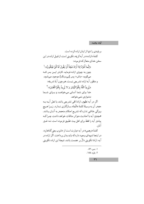$\mathsf{r}\mathsf{r}$ 

۰۱ یس، ۸۲. ۲. بقره، ۱۸۵.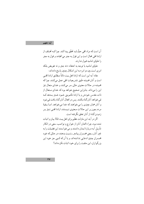#### آیہ تطھیر

آن است که مراد الهي حتاً بايد تحقّق پيدا کند. چرا کـه تخـلف از ارادۂ الهي محال است و اين قول به جبر مي انجامد و قول به جبر را علياي اماميه قبول ندارند.

علمای امامیه با توجه به اعتقاد: «نه جبر و نه تفویض بلکه امري است بين دو امر» به اين اشكال چنين پاسخ دادهاند:

مفاد آیه این است که ارادهٔ اهل بیت داعْاً مـطابق ارادهٔ الهـی است و آنان هميشه طبق تشريعيات الهي عمل ميكنند، چراكه همیشه در حالات معنوی عالی سر می کنند و خدای متعال نیز این را میداند. بنابراین صحیح خواهد بود که خدای مـتعال از ذات مقدس خودش و با ارادهٔ تکـوینی خـود خـبر بـدهد کـه غي خواهد آنان گناه بکنند. پس در افعال آنان گناه یافت غي شو د و آنان همان چيزي را مي خواهند كه خدا مي خواهد. امـا بـقيهٔ مردم چون بر این حالات معنوی نـیستند، ارادهٔ الهـي نـیز بـر ز دودن گناه از آنان تعلق نگر فته است.

اگر در آیه،این منزلت عظیم برای اهل بیت الحداً بیان و اثبات نشده بود، چرا دشمنان آنان از خوارج و نواصب، سعی در انکار تأويل آيه دربارة ايشان داشتند و مي خواستند اين فضيلت را به غير آنان \_يعني همسران پيامبر \_نسبت بدهند؛ در حالي كه خود همسران چنین ادعایی نداشتهاند، و با آن که کسی جز خود این بز د گواران، این منقبت دا برای خود اثبات نکر دهاند؟

 $YY$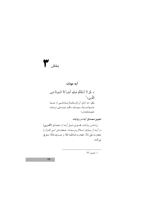# بخش  $\bigvee$

# أيه مودّت ﴿...قُل لَّا أَسْئَلُكُمْ عَـلَيْهِ أَجْـراً لِلَّا الْـمَوَدَّةَ فِـى الْقُرْبِي﴾ ` بگو: «به ازای آن [رسالت] پــاداشــی از شــما خــــواســــتار نــیستم، مگــر دوســتى دربــاره خويشاوندان.»

تعیین مصداق آیه در روایات براساس روايات تفسيري ذيـل آيـه از مـصداق (القـربي) در آیــه از پــیامبر اســلام پــرسیدند. حــضرتش ایــن افـراد را حضرت على للَّيْلَا، حضرت فــاطمه لِلْيَلَا و حســنين لِلْمَيِّلِ اصعر في مىكنند.

۰۱ شوری، ۲۳.

 $\mathbf{Y}$ q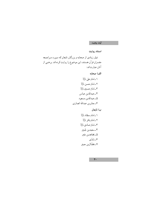اسناد روايت

# الف) صحابه

ب) تابعان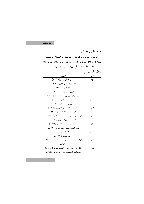## آيہ مودّت

ج) حافظان و محدثان

افزون بر صحابه و تـابعان، حــافظان و محـدثان و مـفسران بسیاری از اهل سنت نزول آیه مودّت را دربارهٔ اهل بـیت اللَخِلا مسلّم و قطعی دانستهاند. نام شماری از ایشان را براساس ترتیب زمانی ذکر مےکنیم

| نام راوي                                          | قرن   |
|---------------------------------------------------|-------|
| احمدبن حنبل شیبانی (م ۲۴۱ هـ)                     | سوم   |
| محمدبن اسماعیل بخاری (م ۲۵۶ هـ)                   |       |
| ابن ماجهٔ قزوینی (م ۲۷۳ هـ)                       |       |
| مسلم بن حجاج نیشابوری (م ۲۶۱ هـ)                  |       |
| ابوبكر احمدبن عمروبن عبدالخالق (بزّار) (م ٢٩٢ هـ) |       |
| محمدبن جریر طبری (م ۳۱۰ هـ)                       | چهارم |
| سلیمان بن احمد طبرانی (م ۳۶۰ هـ)                  |       |
| محمدبن عبدالله حاكم نيشابوري (م ۴۰۵ هـ)           | ينجم  |
| أبونُعَيم احمدبن عبدالله اصفهاني (م ۴۳۰ هـ)       |       |
| ابوالقاسم على بن حسن بن عساكر دمشقى (م ۵۷۱ هـ)    | ششم   |
| على بن محمدبن اثيرجَزري (م ۶۳۰هـ)                 |       |
| محمدبن يوسف گنجي شافعي (م ۶۵۸ هـ)                 | هفتم  |
| محب الدين، احمدبن عبدالله طبري (م ۶۹۴ هـ)         |       |
| ابوالبركات نسفى (م ٧١٠ هـ)                        | هشتم  |
| ابن کثیر دمشقی (م ۷۷۴ هـ)                         |       |
| شهاب الدين احمدبن علىبن محمد ابن حجر عسقلاني      | نهم   |
| (م ۸۵۲ هـ)                                        |       |
| جلال الدین عبدالرحمن بن ابی بکر سیوطی (م ۹۱۱ هـ)  | دهم   |
| شهاب الدین احمدبن محمدبن حجر مکّی (م ۹۷۳ هـ)      |       |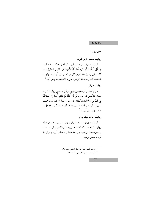متن روايت

روايت محبّ الدين طيري او با سندی از ابن عباس آورده که گفت: هنگامی کـه آیــه ﴿...قُل لَّا أَسْئَلُكُمْ عَلَيْهِ أَجْراً إِلَّا الْمَوَدَّةَ فِي الْقُرْبِيِ﴾ نازل شد. گفتند: اي رسول خدا، نزديكان تو كه دوستي آنها بر ما واجب شده چه کساني هستند؟ فرمود: علي و فاطمه و دو پسر آنها. ١

روايت طبراني

وی با سندی از سعیدبن جبیر از ابن عـباس روایت کـر ده است: هنگامي كه آيه ﴿...قُل لَّا أَسْئَلُكُمْ عَلَيْهِ أَجْراً إِلَّا الْـمَوَدَّةَ فِي الْقُرْبِيِّ نازل شد، گفتند: اي رسول خدا، آن كساني كه محبت .<br>آنان بر ما واجب گشته است، چه کسانی هستند؟ فرمود: علی و فاطمه و پسران آن دو . ۲

روايت حاكم نيشابوري

او با سندي از عمربن على از پدرش عـلىبن الحســين الخَيْلُهُ روایت کر دہ است که گفت: حسن بن علی ﷺ، پس از شہبادت پدرش، سخنرانی کر د. وی حمد خدا را به جای آورد و بر او ثنا کر د و سیس فر مود:

> ٠. محب الدين طبري، ذخائر العقبي، ص ٢۵. ٢. طبراني، معجم الكبير، ج ٣، ص ۴٧.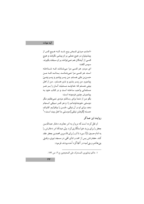#### آيه مودّت

«امشب مردی قـبض روح شـد کــه هــیچ کس از پیشینیان در هیچ عملی بر او پیشی نگرفت و هیچ کسی از آیندگان هم نمی توانند بر او سبقت بگیرند. سيس گفت:

ای مردم، هر کسی مرا میشناشد کـه شـناخته است. هر کسی مرا نمیشناسد، بـدانـد کــه مــن حسن بن علی هستم. من پسر پیامبر و پسر وصیّ ييامبرم. من يسر بشير و نذير هستم... من از اهل بیتی هستم که خداونــد مــحبّت آنــان را بــر هــر مسلمانی واجب ساخته است و در کتاب خود به يباميرش حنين فرموده است: بگو من از شما برای رسالتم مزدی نمیطلبم مگر دوستی خویشاوندانم را؛ و هر کس نـیکی انــجام دهد، برای او در آن نیکی، حُسن را بیافزایم. اقتراف حسنه [گرفتن نیکی] دوستی ما اهل بیت است.»<sup>(</sup>

روایت ابن عساکر

او نقل کر ده است که مروان به امر معاویه، دختر عبدالله بـن جعفر را برای یز ید خواستگاری کر د. ولی عبدالله امر دخترش را به امام حسین ،لیلا سپرد تا او را برای قاسم بن محمدبن جعفر عقد كند. حضرتش پس از حمد و ثناي الهي در مسجد نبوي، وقــق بني هاشم و بني اميه در آنجاگرد آمده بودند، فرمود:

١. حاكم نيشابوري، المستدرك على الصحيحين، ج ٣، ص ١٧٢.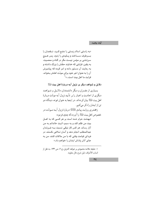«به راستی اسلام یَستی را دفع کـرد، نـقصان را بــــرطرف ســـــاخت و پــليدى را زدود. پس هــيچ سرزنشی بر مؤمن نیست مگر در گناه و معصیت. به یقین، قرابتی که خداوند حقّش را بزرگ داشته و به رعایت آن دستور داده و امر کرده که پیامبرش آن را به عنوان اجر خود برا*ی* مودّت اهلش بخواند، قرابت ما اهل بیت است...» <sup>(</sup>

دلایل و شواهد دیگر بر نزول آیه دربارهٔ اهل بیت ﷺ

بسیاری از مفسران و دیگر دانشمندان، دلایـل و شـواهـد دیگری از احادیث و اخبار را بر تأیید نزول آیه مودّت دربارهٔ اهل بيت الطِّيِّ بيان كر دهاند. در اينجا به عنوان نمونه، ديدگاه دو تن از ایشان را ذکر میکنیم. زمخشری روایت پیامبر ﷺ دربارهٔ نزول آیـه مـودّت در خصوص اهل بيت الطَّلِّ را آورده كه چنين فر مود: «بهشت حرام شده است بر هر کسی که به اهــل بيت من ظلم كند و به سبب اذيت خاندانم به من آزار رساند. هر کس کار نیکی نسبت بــه فــرزندان عبدالمطلب انجام دهد و آنــان تــلافي نكــنند، در فردای قیامت وقتی که با من ملاقات کنند، من به جای آنان یاداش ایشان را خواهم داد.»

١. تعليقه علامه محمودي بر شواهد التنزيل، ج ٢، ص ١۴۴، به نقل از انساب الأشراف، ذيل شرح حال معاويه.

٣٤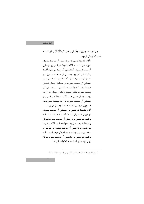#### آيه مودّت

وي در ادامه روايتي ديگر از پيامبر اکرمﷺ را نقل کـر ده است كه ايشان فر مود: «آگاه باشید! کسی که بر دوستی آل محمد بمیرد، شهید مرده است. آگاه باشید! هر کس بر دوستی آل محمد بميرد، گناهانش آمرزيده مي شود.آگــاه باشید! هر کس بر دوســتی آل مــحمد بــمیرد در حالت توبه مرده است. آگاه باشید! هر کســی بــر دوستی آل محمد بمیرد، در حــالت ایــمان کــامل مرده است. آگاه باشید! هر کسی بــر دوســتی آل محمد بميرد، ملک الموت و نکير و منکر وي را به بهشت بشارت می،دهند. آگاه باشید! هــر کس بــر دوستی آل محمد بمیرد، او را به بهشت مــیبرَند، همچون عروسی که به خانه شوهرش میبرند. آگاه باشید! هر کسی بر دوستی آل محمد بمیرد، در قبرش دو در از بهشت گشوده خواهد شد. آگاه باشيد! هر كسي بر دوستي آل محمد بميرد، قبرش را ملائكهٔ رحمت زيارت خواهند كرد. آگاه بــاشيد! هر کسی بر دوستی آل محمد بمیرد، بر طریقه و سنت پیامبر و جماعت مسلمانان مرده است. آگاه باشید! هر کسی بر دشمنی آل محمد بمیرد، هرگز بوی بهشت را استشمام نخواهد کرد».<sup>۱</sup>

١. زمخشري، الكشاف في تفسير القرآن، ج ٢، ص ٢٢٠ \_ ٢٢١.

 $ro$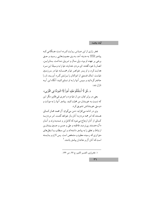فخر رازی از این عـباس روایت کـر ده است: هـنگامی کـه پيامبر گاپاييخته به مدينه آمد، به وي مصيبتهايي رسـيد و حــق برخي بر عهده او بود، ولي مـال و ثـروتي نـداشت. بـنابرايـن، انصار با خود گفتند: اي مردم، خداوند شما را به وسيلهٔ اين مـرد هدايت كرد، و او يسر خواهـر شها و همســايه شها در سرزمــين شماست. اینک قسمتی از اموالتان را به ایش گهر د آوریـد، او را حاضر گردانید و سپس آنها را به او تسلیم کنید؛ آنگاه این آیــه نازل شد:

﴿...قُل لَّا أَسْئَلُكُمْ عَلَيْه أَجْراً إِلَّا الْمَوَدَّةَ في الْقُرْبِي﴾ يعني در ٻرابر اعان، من از شامز د و اجري نمي طلبي، مگر اين كه نسبت به خويشان من محبّت كنيد. پيامبر آنها را به مودّت و دوستي خويشانش تشويق كرد.

وي در ادامه مي افزايد: «من مي گويم: آل محمد همان كساني هستند که امر همه مردم به آنان باز خواهد گشت. امر مردم بـه كساني از آنان ارجاع مي شود كه كامل تر و شـديدترند و آنـان «آل» هستند. پي تر ديد، فاطمه و علي و حسن و حسين بيشترين ارتباط و تعلق را به پیامبر داشتهاند و این مـطلب بــا نــقل های متواتري كه رسيده معلوم و مشخص است. پس لازم و بـايسته است که آنان آل و خاندان پیامبر باشند. ۱

٠. فخررازي، التفسير الكبير، ج ٢٧، ص ١۶۶.

٣٦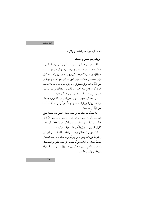آيه موڏت

دلالت آیه مودّت بر امامت و ولایت

خویشاوندی نسبی و امامت

اگر به فرض، قـرابت نسـبي دخـالت و اثـري در امـامت و خلافت نداشـته بـاشد، در ايـن صـورت بـاز هـم در امـامت اميرالمؤمنين على اللِّهِ هيچ شكي وجود ندارد. زيـرا هـر عــاملي برای استحقاق خلافت برای کسی در نظر بگیریم، تمام آنهـا در علي اللَّهِ به نحو بر تر، كامل تر و تمامتر وجود دارد. به علاوه ــ به نجوی که از کلام سید احمد این طاووس استفاده می شود ـ ایـن قرابت نسبي نيز در امر خلافت، اثر و دخالت دارد.

سيد احمد ابن طاووس در پاسخې که بر رسالۀ عثانيه جاحظ نوشته، دربارهٔ این قرابت نســبي و تأثــیر آن در مسألهٔ امــامت على پاڻايش آور ده است:

جاحظ گويد: عثانيها مي پندارند كه :«كسي به رياست ديني نمي رسد مگر به سبب دين». وي در اينباره با سخناني طولاني کتابش را انباشته و خطابهاش را زیاد کر ده و با الفاظی آراسته و كلماتي فراوان، عبارتي را آورده كه جواب او اين است:

امامیه برای استحقاق ریاست و امامت فقط نسب و خویشی را شرط نمي داند، پس تمامي پرگويي هاي او از درجـهٔ اعـتبار ساقط است. ولي اماميه مي گويند كه اگر نسب دليلي بر استحقاق باشد، بنيهاشم نسبت به ديگران و علي اللَّةِ نسبت به ديگر افراد بني هاشم اولويت دارند.

 $\mathbf{r}\mathbf{v}$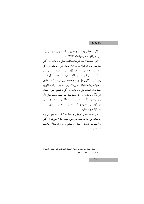اگر استحقاق به نسب و خــویشی است، پس عــلی اولویت دار د؛ زیرا او داماد رسول خدار اَ اللَّهُ اللَّهُ است.

اگر استحقاق بـه تـربيت بـاشد، عـلى اولويت دارد. اگـر استحقاق به ولادت از سرور زنان باشد، علی اولویت دارد. اگر استحقاق به هجر ت باشد، على عليٌّ با خوابيدنش در بستر رسول خدا سبب ساز آن شد. زيرا قام مهاجران، به جز رسـول خــدا، رهين اين فداكاري على بودند و همه، مديون اويند. اگر استحقاق به جهاد در راه خدا باشد، علی ﷺ اولو پت دار د. اگر استحقاق به حفظ قرآن است، على اولويت دارد. اگر به تفسیر قبرآن است، على اللَّهِ اولويت دارد. اگر استحقاق بـه عـلم است، عـلى اللَّهِ إِ اولويت دارد. اگير استحقاق بـه خـطابه و سـخن وري است، على اللَّهِ إولويت دارد و اگر استحقاق به شعر و شــاعري است، على ﷺ اولويت دار د. وي در ردّ سخن ابوعثان جاحظ كه گـفت: «هـيچ كس بـه رياست ديني جز به سبب دين نمي رسد». چنبن مــي گويد: اگــر صاحب دین دست از صلاح و نیکی بردارد، شایستهٔ ریـاست

٣٨

نخواهد بود. `

١. سيد احمد ابن طاووس، بناء المقالة الفاطمية في نقض الرسالة العثمانية، ص ٣٧٨ ـ ٣٩١.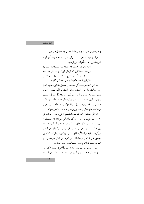آيه موڏت

واجب بودن مودَّت، وجوب اطاعت را به دنبال ميآورد مراد از مودّت، محبّت به تـنهایی نـیست. مخـصوصاً در آیـه شر يفهٔ مورد بحث، آنجا که می فرماید: «این یاداشی است که خــدا بــه بــندگانش مــژده میدهد. بندگانی که ایمان آورند و اعــمال صــالـح انجام دهند. بگو بر تبلیغ رسالتم مزدی نمیطلبم مگر این که به خویشان من دوستی کنید» در اين آيهٔ شريفه ـاگر استثناء را متصل بدانيم ـمودّت را اجر رسالت قرار داده است و معلوم است که اگـر بــن دو امـر ، تساوي نباشد، نمي توان اجر و مو دّت را با يکديگر مقابل دانست و این تساوی، صادق نیست. بنابراین، اگر ما به عظمت رسالت محمدي نزد خدا و نزد بشريّت واقف باشيم، به عظمت اين اجر و مودّت در خويشان پيامبر پي برده و بدان هدايت مي شويم. اما اگر استثنای آیهٔ شریفه را منقطع بدانیم و به روایات ذیل آن مراجعه کنیم، ما را به این نکته راهنایی میکند که مســلمانان مي خواستند در مقابل اداي رسالت پيامبر به او اموالي دهند كه وي به گشايش و راحتي بر سد؛ ايشان اين پيشنهاد را رد مي كند و مي گويد: تبليغ او اصلاً پاداشي ندارد. پيامبر مي|فزايد: اما مــن دوستي خويشانم را از شها طلب مي كنم و اين همان امر مطلوب و محبو پي است که انجام آن بر مسليانان واجب است...

یس وجوب مودّت ـ در چنین جــایگاهی؛ آنــچنان کــه در مقدورات افراد هست و از آنان خواسته شده ـ دلالت مرکند که

 $\mathbf{r}$ 9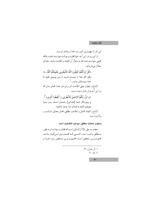اين امر از مهم تر ين امور نز د خدا و پيامبر اوست. از این رو در این آیه، تنها محبّت و مودّت خواسته نشده، بلکه محبتي خواسته شده كه به دنبال آن انقياد و اطاعت باشد. خداي متعال مي فرمايد: ﴿قُلْ اِنْ كُنْتُمْ تُحِبُّونَ اللَّهَ فَاتَّبِعُونِي يُحْبِبْكُمُ اللَّهُ...﴾؛ بگو: اگر خدا را دوست دارید، از من پیرو*ی* کنید تا خدا دوستتان بدارد...<sup>۱</sup> اتّباع و تبعیّت یعنی اطاعت امر و فرمان خدا، همان سان که در این آیه بدان اشاره شده است: ﴿وَ اِنَّ رَبَّكُمُ الرَّحْمنُ فَاتَّبِعُونِي وَ أَطِيعُوا أَمْرِي﴾ ``؛ و پروردگار شما [خدای] رحــمان است، پس مــرا پیروی کنید و فرمان مرا پذیرا باشید. اتّباع و انقياد كامل و اطاعت مطلق، همان معناي امـامت و ولايت است.

وجوب محبّت مطلق، موجب افضليت است حضرت على اللَّهُ إز كساني است كه محبّت و مو دّت او به طو ر مــطلق واجب است. كــسى كـه محـبّت وى ايـن گونه بـاشد، محبوب ترين شخص است؛ محبوب ترين شـخص نـز د خــدا و

> ٠١. آل عمران، ٣١. ۲. طه، ۹۰.

> > $\xi$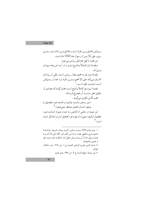### آيه مودّت

رسولش فاضل ترين افراد است و فاضل ترين امام است. بـدين روى، على الثَّادِّ بِس از رسول خداءَ السَّاتَة عَلَيْهِ امام است. اين بحث با طيّ مقدماتي روشن مي شود: مـقدمهٔ اول کـاملاً واضـح است و از آیــه شریـفه مـودّت بر می آید. مقدمهٔ دوم نیز به همین مقدار روشن است؛ یکی از روایات كه بيان مىكند على لمائِلِ محبوب ترين افراد نزد خدا و رسـولش است، «حديث طبر» است. ١ مقدمهٔ سوم نیز کاملاً واضح است؛ همان گونه که تعدادی از علمای اهل سنت به آن تصریح کردهاند: محب الدّين طبري مي گويد: «اين سخن ماست: ولايت و امامت فرد مفضول با وجود انسان افضل منعقد نمي شود».<sup>۲</sup> ابن تیمیه در جایی از کتابش، به عـدم جـواز امـامت فـر د مفضول (يايين دستي) با وجود فرد افـضل (بـرتر) قـائل شـده  $\mathbf{v}$ است.

١. براي پيامبرﷺ پـرنده بـرياني را أورده بـودند، فـرمود: بـارخـدايـا، محبوبترين مخلوق خودت را نزد من حاضر كن. أنگاه على اللَّهِ أمد و به همراه رسول خدا از آن پرنده بریان تناول کرد. «بنگرید: جلد حدیث طیر از همين مجموعه) ٢. محبّ الدين طبري، الرياض النضرة، ج ١، ص ٢١۶، بـاب خـلافت ابوبكر. ٣. ابن تيمية، منهاج السنة، ج ٣، ص ٢٧٧، چاپ قديم.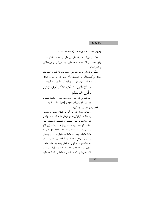وجوب محبت مطلق، مستلزم عصمت است مطلق بودن امر به مودّت ايشان، دليل بر عصمت آنان است. وقتي عصمتش ثابت شد، امامت نيز ثابت مي شود و اين مطلبي واضح است. مطلق بودن امر به مودّت اهل البيت ـكه دلالت بر اطـاعت مطلق میکند ـ دلیل بر عصمت آنان است. در این مـورد کـافی است به سخن فخر رازي در تفسير آيه ذيل نظري بياندازيد: ﴿يَا أَيُّهَا الَّذِينَ آمَنُوا أَطِيعُوا اللَّهَ وَ أَطِيعُوا الرَّسُولَ وَ أُوْلِي الْأَمْرِ مِنْكُمْ﴾؛ ای کسانی که ایمان آوردهاید، خدا را اطاعت کنید و ییامبر و اولیای امر خود را [نیز] اطاعت کنید. فخر رازي در اين باره گويد: «خدای متعال در این آیه به شکل جزمی و یقینی به اطاعت از اولی الامر فرمان داده است. هــرکس که خداوند به طور پــقینی و قــطعی دســتور بــه اطاعت او دهد، باید معصوم از خطا باشد. زیرا اگر معصوم از خطا نباشد، به خاطر اقدام وی امر به خطا خواهد بود، اما خطا به دلیل خــطا بــودنش مورد نهی واقع شده است. آنگاه این مطلب منجر به اجتماع امر و نهی در فعل واحد به اعتبار واحد بودن میانجامد؛ در حالی که این محال است. پس ثابت می شود که هر کسی را خدای متعال به طور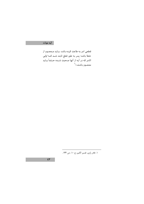## آیہ مودّت

قطعی امر به طاعت کرده باشد، بـاید مــعصوم از خطا باشد؛ پس به طور قطع ثابت شــد کــه اولی الامر که در آیه از آنها صحبت شــده حــتماً بــاید معصوم باشند.»<sup>۱</sup>

٠. فخر رازي، تفسير الكبير، ج ١٠، ص ١۴۴.

 $\xi \, \overline{\tau}$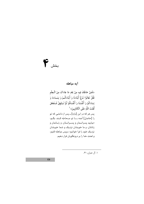# $\epsilon$ بخش

## أيه مباهله

﴿فَمَنْ حَاجَّكَ فِيهِ مِنْ بَعْدِ مَا جَاءَکَ مِنَ الْـعِلْم فَقُلْ تَعَالَوْا نَدْعُ أَبْنَاءَنَا وَ أَبْنَاءَكُـمْ وَ نِسَـاءَنا وَ نِسَاءَكُمْ وَ أَنْفُسَنَا وَ أَنْفُسَكُمْ ثُمَّ نَـبْتَهِلْ فَـنَجْعَل لَّعْنَتَ اللَّهِ عَلَى الْكَاذِبِينَ﴾ ` پس هر که در این [باره] ــ پس از دانشی که تو را [حاصل] آمده ــ با تو مــحاجّه كــند، بگــو: «بياييد پسرانهان و پسوانتان، و زنانمان و زنانتان، و ما خویشان نزدیک و شما خویشان نزدیک خود را فرا خوانیم؛ سپس مباهله کنیم، و لعنت خدا را بر دروغگویان قرار دهیم.

۰۱ آل عمران، ۶۱.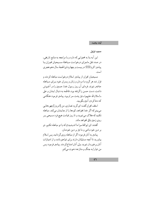سبب نزول

این آیه بنا به محتوایی که دارد و با مراجعه به منابع تاریخی، در صدد نقل ماجرای درخواست مـباهلهٔ مسـیحیان نحـران بـا ييامبر اكرمﷺ در بيست و چهارم ذي الحجهٔ سال دهم هجري است.

مسيحيان نجران از پيامبر اسلام درخواست مباهله كردند و قرار شد هر گروه با مردان و زنان و پسران خود بـراي مـباهله حاضر شوند. فر دای آن روز رسول خدا، حسین را در آغـوش داشت، دست حسن راگر فته بود، فاطمه به دنبال ایشان و علی \_(سلام الله علمهم) \_نيز يشت سر او بود. پيامبر فر مود: هنگامي که دعاکر دم، آمین بگو پید.

اسقف نجران گفت: اي گروه نصاري، من [امروز] چهرههايي میبینم که اگر خدا بخواهد، کوهها را از جایشان میکند. مباهله نکنید که هلاک میشوید و تا روز قیامت هیچ فرد مسیحی بـر روي زمين باقي نخواهد ماند.

گفتند: اي ابوالقاسم! ما انديشيديم كه با تو مباهله نكنيم، تو بر دين خود باشي و ما نيز بر دين خودمان.

پیامبر به آنان فر مود: اگر از مباهله روی گر دانید، پس اسلام بیاورید تا آنچه مسلمانان دارند برای شما هم باشد و از امتیازات آنان برخوردار شويد. ولي آنان امتناع كردند. پيامبر فرمود: پس من شما را به جنگ و منازعه دعوت مىكنم.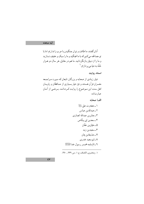## آیہ مباھلہ

آنان گفتند: ما طاقت و توان جنگیدن با عرب را نداریم، اما با تو مصالحه میکنیم که با ما نجنگید و ما را سبک و خفیف نسازید و ما را از دینان بازنگردانید. ما هم در مقابل، هر سال دو هــزار حُلّه به شما مي پردازيم. ١

اسناد روايت

الف) صحابه

١. زمخشري، الكشاف، ج ١، ص ٣٤٩ ـ ٣٧٠.

 $\xi$  Y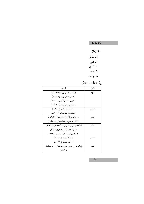ب) تابعان

۱ ــمقاتل ۲ ـ کلبی . ـ<br>۳ ــ سُدّى ۴\_قتاد

۵\_مجاهد

ج) حافظان و محدثان

| نام راوي                                       | قرن   |
|------------------------------------------------|-------|
| ابوبکر عبداللهبن ابی شیبه (م ۲۳۵ هـ)           | سوم   |
| احمدبن حنبل شيباني (م ٢۴١ هـ)                  |       |
| مسلمبن حجاج نیشابوری (م ۲۶۱ هـ)                |       |
| محمدبن عیسی ترمذی (م ۲۷۹ هـ)                   |       |
| محمدبن جریر طبری (م ۳۱۰ هـ)                    | چهارم |
| سلیمان بن احمد طبرانی (م ٣۶٠ هـ)               |       |
| محمدبن عبدالله حاکم نیشابوری (م ۴۰۵ هـ)        | ينجم  |
| أبونُعَيم احمدبن عبدالله اصفهاني (م ۴۳۰ هـ)    |       |
| ابوالقاسم على بن حسن بن عساكر دمشقى (م ٥٧١ هـ) | ششم   |
| علىبن محمدبن اثير جَزري (م ۶۳۰ هـ)             |       |
| محب الدين، احمدبن عبدالله طبري (م ۶۹۴ هـ)      |       |
| ابوالبركات نسفى (م ٧١٠ هـ)                     | هشتم  |
| ابن کثیر دمشقی (م ۷۷۴ هـ)                      |       |
| شهاب الدين احمدبن علىبن محمد ابن حجر عسقلاني   | نهم   |
| (م ۸۵۲ هـ)                                     |       |

 $\epsilon$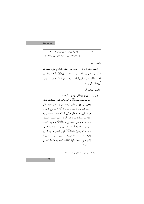## آیہ مباھلہ

| جلال الدين عبدالرحمن سيوطى (م ٩١١ هـ)        | دهم |
|----------------------------------------------|-----|
| شهاب الدين احمدبن محمدبن حجر مكّى (م ٩٧٣ هـ) |     |

متن روايت

اخباري دربارة نزول آيه دربارة حضرت امام على، حضرت فاطمه و حضرت امام حسن و امام حسین ایلیهه وارد شده است که حافظان حدیث آن را با اسـانیدش در کـتابهاي خـويش آوردهاند. از جمله:

روایت ابنعساکر

۰۱ ابن عساکر، تاریخ دمشق، ج ۰۳ ص ۹۰.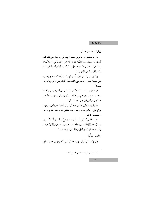روايت احمدبن حنبل

وی با سندی از عامرین سعد از پدرش روایت مے کند ک گفت: از رسول خدارگذانگیز شنیدم که علی را در یکی از جنگها جانشین خود قرار داده بود، علی به او گفت: آیا مرا در کنار زنان و کودکان باقي مي گذاري؟! پیامبر فرمود: ای علی، آیا راضی نیستی که نسبت تو به من، مثل نسبت هارون به موسى باشد مگر اينكه پس از من پيامبري نيست؟ همچنین از پیامبر شنیدم که روز خیبر میگفت: پرچم را فردا به دست مردي خواهم سيرد كه خدا و رسول را دوست دارد و خدا و رسولش نیز او را دوست دارند. ما براي دستيايي به اين افتخار گر دن كشيديم، پيامبر فر مود:

برایم علی را بیاورید... پرچم را به دستش داد و خداوند پیروزی را نصيبش كرد. نيز هنگامي كه اين آيه نازل شد: ﴿نَدْعُ أَبْنَاءَنَا وَ أَبْنَاءَكُمْ...﴾، رسول خداﷺ، على و فاطمه و حسن و حسين ﷺ را خواند و گفت: خدایا اینان اهل و خاندان من هستند. (

روايت ابنشُبَّه وي با سندي از ليثبن سعد از كسي كه برايش حديث نقل

٠١. احمدبن حنبل، مسند، ج ٠١ ص ١٨۵.

 $\bullet$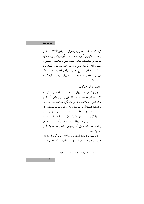#### آیہ مباھلہ

کر ده که گفته است: «دو راهب نجران نز د پيامبر ﷺ آمــدند و پیامبر، اسلام را بر آنان عرضه داشت... آن دو راهب پیامبر را به مباهله فراخوانـدند. يـيامبر دست عـلى و فـاطمه و حسـن و حسین اللَّیلا واگرفت. یکی از آن دو راهب به دیگری گفت: مرد \_پيامبر \_انصاف به خرج داد. آن دو راهب گفتند: ما با تو مباهله فم كنبر. آنگاه تن به جزيه دادند، چون از آوردن اسـلام اكـراه داشتند.»<sup>۱</sup>

روايت حاكم حسكانى

وي با اسانيد خود روايت کرده است از ځُڏَ پفةين عبان کيه گفت: «عاقب» و «سيّد» دو اسقف نجران نـزد پـيامبر آمـدند و حضرتش را به ملاعنه و نفرين يكديگر دعوت كردند. «عاقب» به «سیّد» گفت: اگر با اصحابش خارج شود، پیامبر نیست و اگر با اهل بيتش براي مباهله خـارج شـود، پـيامبر است. رسـول خدار الله الله عنه الله على را از طرف راست خــود دعوت کر د، سپس حسن راکه از سمت چیش آمد. سپس حسین راكه از سمت راست على آمد و سيس فاطمه راكه به دنبال آنان رهسيار شد. «عاقب» به «سيّد» گفت: با او مباهله مكن. اگر با او ملاعنه کني، ما و فرزندانمان هرگز روي رسـتگاري را نخـواهــيم ديـد.

٠. ابن شبّه، تاريخ المدينة المنورة، ج ٠، ص ٥٣٨.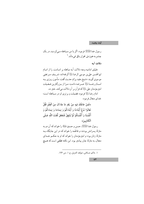رسول خدارهٔ الله این اسلام اگر با من مـباهله مـیکردید، در یک چشم به همزدني نجران باقي نمي مانَد. ١

دلالت آيه

علمای امامیه وجه دلالت آیه مباهله بر امـامت، را از امــام ابوالحسن علىبن موسى الرضا إليَّالاٍ كرفتهاند؛ شريـف مـرتضى موسوي گويد: «شيخ مفيد برايم حديث گفت: مأمون روزي بــه امسام رضسا باللهُ عسر ضه داشت: ميرا از بيز رگترين فيضيلت امبرمؤمنان على ﷺ كه قرآن بر آن دلالت مي كند، خبر ده. امام رضا لِمَثِينٍ فرمود: فضيلت و برتري او در مـباهله است؛ خداي متعال فر مود:

﴿فَمَنْ حَاجَّكَ فِيهِ مِنْ بَعْدِ مَا جَاءَكَ مِنَ الْعِلْمِ فَقُلْ تَعَالَوْا نَدْعُ أَبْنَاءَنَا وَ أَبْنَاءَكُمْ وَ نِسَاءَنا وَ نِسَاءَكُمْ وَ أَنْفُسَنَا وَ أَنْفُسَكُمْ ثُمَّ نَبْتَهِلْ فَنَجْعَل لَّغْنَتَ اللَّهِ عَـلَى الْكَاذِبِينَ﴾

ر سول خداءَآلِللْهُ عَلَيْهِ حسن و حسنن اللَّيْلِ إِلا خواند كه آن دو به منزلهٔ پسرانش بودند؛ و فاطمه را خواند که در این جایگاه بـه منزلهٔ زنان بود؛ و امیرمؤمنان را خواند که او به حکـم خــدای متعال، به منزلهٔ جان پیامبر بود. این نکته قطعی است که هـیچ

١. حاكم حسكاني، شواهد التنزيل، ج ١، ص ١٢۶.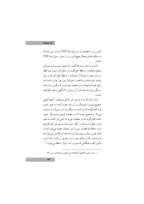آيه مباهله

كس بر تر و با فضيلت تر از رسول خدا گَهُنْگَنَّهِ نيست. پس بايدكه در حکم خداي متعال. هيچ کس بر تر از جان رسول خداﷺ نياشد.

مأمون به امام رضا لمليًّا﴿ كَفت: آيا چنين نـيست كـه خــداي متعالى «ابناء» را به لفظ جمع گفت، در حالي كه رسول خدا فقط دو پسر خود را خواند؟ و «نساء» را به لفظ جمع ذکر کـر د، ولي ييامبر تنها دخترش فاطمه را خواند؟ يس چرا جايز نباشد كـه برای خود فراخواند و در حقیقت خودش و نه دیگر ی مراد باشد و دیگر برای امیرمؤمنان، آن بر تری را که گفتی، وجود نخواهـد داشت.

امام رضا ﷺ به او فر مود: اي حاكم مسلمانان، آنـڃه گـفتي صحيح نيست. دعوتگر در آن جا دعوت كننده به غـير خـود بود؛ همانگونه که امر کننده به دیگری امر مـیکرد و دسـتور مي داد. و صحيح نيست كه در حقيقت كـسي دعـوتگر خـود باشد؛ همانگو نه که در حقیقت غی تواند کسی امر کننده به خود باشد. معلوم است که در آنجا رسول خدا مر دی جز امیرالمؤمنین را در مباهله فرانخواند. پس با این سخنان معلوم می شود کـه او همان نفس و جان رسول خداست كه خدا در كتابش مى خواسته بدو عنايت كند و حكم خود را در تــنزيل آن قـرار داده است. مأمون گفت: هنگامي كه جواب آمد، سؤال ساقط مي شود.» <sup>(</sup>

٠١. سيد مرتضى، الفصول المختارة من العيون و المحاسن، ص ٣٨.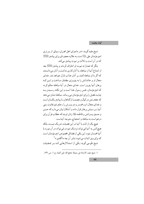شيخ مفيد گويد: «در ماجراي اهل نجران، بـياني از بـر تري امعرمؤمنان على الثَّلاِّ است، به علاوه معجز هاي براي پيامبر ِ رَأَيْشَاتَهِ كه در آن است و دلالت بر نبوت پيامبر مي كند.

بِنگر که نصارا به نبوت او اعتراف کر دند و پیامبر ﷺ بعد از امتناع آنها از مباهله، با آنان کاری نداشت و آنان می دانستند که اگر یا او مباهله کنند، بر آنان عذاب نازل خواهد شد. خدای متعال او و خاندانش را به پیروزی مطمئن سـاخت و ایـن کـه بر هان آنها پيروز است. خداي متعال در آيۀ مباهله حکم کر ده كه امبرمؤمنان، نفس رسول خدا است و اين نكته رسـيدن بـه نهايت فضل را براي اميرمؤمنان مي رساند. مباهله نشان مي دهد که حضرتش در کیال و عصمت از گناهان، با پیامبر یکسان است و خدای متعال، او و همسر و دو پسرش را \_علیرغم تفاوت سنی آنها \_بر دينش بر هان قرار داده و آشكارا بيان مي دارد كه حسن و حسين يسرانش و فاطمه اللَّه زنان او يند كه خطاب قرآن براي درخواست به مباهله و احتجاج، متوجه آنهاست. هیچ یک از امّت با آنها در این فضیلت شریک نیست، بلکه هیچ کس به آنها نمی تواند نزدیک شود و نمی تواند در آن مورد با آنها همسان شود. اين يكي از فضائل مخصوص اميرمؤمنان است که برای وي اثبات مي شود؛ بنابر آن چه ماگفتيم.» <sup>(</sup> شیخ طوسی گوید: یکی از استدلالهایی کـه بـر فـضیلت

١. شيخ مفيد، الارشاد في معرفة حجج الله على العباد، ج ١، ص ١٤٩.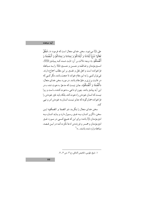### آيه مباهله

على اليَّالِهِ مي شود، سخن خداي متعال است كه فرمود: ﴿...فَقُلْ تَعَالَوْا نَدْعُ أَبْنَاءَنَا وَ أَبْنَاءَكُمْ وَ نِسَاءَنا وَ نِسَاءَكُمْ وَ أَنْـفُسَنَا وَ أَنْفُسَكُمْ...﴾؛ وجه دلالت بر آن: ثابت شــده كــه بِــيامبر ﷺ امسرمؤمنان و فباطمه و حسن و حســبن التِّلاِّ را بـه مـباهله فراخوانده است و اهل نقل و تفسیر بر این مطلب اجماع دارند. في توان كسي را به اين مقام خواند تا حجت باشد، مگر كسي كه در غايت برتري و علوّ مقام باشد. در مورد سخن خداي متعال: ﴿أَنْفُسَنَا وَ أَنْفُسَكُمْ﴾، جايز نيست كه مدعوّ \_دعوت شده \_در اين آيه پيامبر باشد. چون او داعي -دعوت كننده -است و روا نیست که انسان خو دش را دعوت کند، بلکه باید غیر خو دش را فراخواند؛ همان گونه که جایز نیست انسان به خودش امر و نهی کند.

سخن خدای متعال را بنگرید: ﴿و انفسنا و انفسکم﴾ ایـن سخن، ناگزير اشـاره بـه غـــبر رســول دارد و بــايد اشــاره بــه امیرمؤمنان الخِّلا باشد؛ برای این که هـیج کـسی در مـورد غـیر امبرمؤمنان و همسر و فرزندش ادعا نکر ده کـه در ايـن قـصه، مباهله وارد شده باشند....»

٠. شيخ طوسى، تلخيص الشافى، ج ٣، ص ۶ ـ ٧.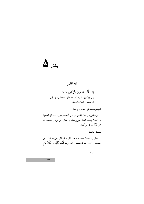

## أيه انذار

﴿اِنَّمَا أَنْتَ مُنْذِرٌ وَ لِكُلِّ قَوْمٍ هَادٍ﴾ ` [ای پیامبر،] تو فقط هشدار دهندهای، و برای هر قومی رهبری است.

تعیین مصداق آیه در روایات

براساس روايات تفسيري ذيل آيه، در مورد مصداق (هَــادٍ) در آیه از پیامبر اسلام میپرسند و ایشان این فرد را حـضرت على لِلتَّالِ معرفي ميكنند.

اسناد روايت

 $\circ \mathsf{v}$ 

۰۱ رعد، ۷.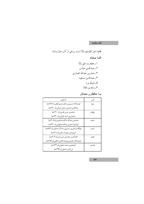ب) حافظان و محدثان

| نام راوي                                       | قرن   |
|------------------------------------------------|-------|
| ابوعبدالله حسین بن حکم حبری کوفی (م ۲۸۶ هـ)    | سوم   |
| عبداللهبن احمدبن حنبل شيباني (م ٢٩٠ هـ)        |       |
| محمدبن جریر طبری (م ۳۱۰ هـ)                    | چهارم |
| سليمانبن احمد طبراني (م ٣۶٠هـ)                 |       |
| محمدبن عبدالله حاكم نيشابوري (م ۴۰۵ هـ)        | ينجم  |
| أبونُعَيم احمدبن عبدالله اصفهاني (م ۴۳۰ هـ)    |       |
| ابوالقاسم علي بن حسن بن عساكر دمشقى (م ٥٧١ هـ) | ششم   |
| شیرویهبن شهردار دیلمی (م ۵۰۹ هـ)               |       |
| فخرالدین محمدبن عمر رازي (م ۶۰۶ هـ)            | هفتم  |
| ابوعبدالله محمدبن يوسف گنجي شافعي (م ۶۵۸ھـ)    |       |
| ابراهيم بن محمد حَمّوئي (م ٧٢٢ هـ)             | هشتم  |
| ابن کثیر دمشقی (م ۷۷۴ هـ)                      |       |

 $\circ \land$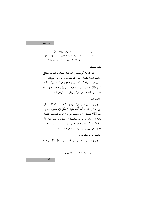## آيه انذار

| نورالدين هيثمي (م ٨٠٧ هـ)                        | نهم |
|--------------------------------------------------|-----|
| جلال الدین عبدالرحمن بن ابی بکر سیوطی (م ۹۱۱ هـ) | دهم |
| شهاب الدين احمدبن محمدبن حجر مكّى (م ٩٧٣ هـ)     |     |

متن حديث

رواياتي كه بيانگر مصداق آيه انذار است، با الفــاظ مخــتلف روایت شده است؛ اما همه یک مضمون راگزارش مـی کند و آن تعیین مصداق برای کلمهٔ «منذر و هادی» در آیه است که پیامبر اکرمﷺ خود را منذر و حضرت علی ﷺ را هادی معر في کر ده است. در ادامه به برخی از این روایات اشاره میکنیم.

روايت طبرى

وي با سندي از ابن عباس روايت كرده است كه گفت: وقتي اين آيه نازل شد: ﴿إِنَّمَا أَنْتَ مُنْذِرٌ وَ لِكُلِّ قَوْمٍ هَـادٍ﴾؛ رســول خداءَ اللَّهِ اللَّهُ وستش را د وي سبنه على مالِيٌلَ نهاد و گُفت: من هشدار دهندهام و براي هر قومي هدايتگري است و به شانهٔ عــلي لمائِلاٍ اشاره كرد و گفت: تو هادي هستي، اي علي. تنها به وسـيله تـو هدايتجويان پس از من هدايت خواهند شد.»<sup>۱</sup>

روایت حاکم نیشابوری وي با سندي از عبّادين عبدالله اسدي از علي ﷺ آورده كه

٠. طبرى، جامع البيان في تفسير القرآن، ج ١٢، ص ٧٢.

 $O<sub>1</sub>$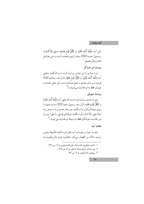ذيل آية: ﴿إِنَّمَا أَنْتَ مُنْذِرٌ وَ لِكُلِّ قَوْمٍ هَـادٍ﴾، عـلى اللَّهِ كَـفت: رســـول خـــدائِيَّاتِيَّةِ مــنذر (بــيم دهــَنده) است و مــن هــادي (هدايتگر) هستم. ١ روایت ابن عساکر او با سندی از این عباس روایت کر ده است که گفت: وقتی آيه ﴿إِنَّمَا أَنْتَ مُنْذِرٌ وَ لِكُلِّ قَوْمٍ هَادِ﴾ نازل شد، پـيامبر ﷺ فرمود: من منذر هستم و عـلي هـادي است. اي عـلي، هـدايت جو يان فقط به تو هدايت مي شوند.»<sup>٢</sup> روايت سيوطى

وي با سندي روايت كرده است كه وقتي آيه ﴿إِنَّمَا أَنْتَ مُنْذِرٌ وَ لِكُلِّ قَوْمٍ هَادِ﴾ نازل شد، رسـول خــداﷺ دست خــود را روی سینهاشٌ قرار داد و گفت: من منذر هستم و با دســتش بــه شانهٔ على ﷺاشاره كرد و گفت: تو هادي هستي. يا علي!، پس از من، هدايت شو ندگان فقط به وسيلهٔ تو هدايت مے شو ند. ۳

دلالت آىه

باید به اجزاء و مفردات آیه دقت کرد؛ کلمهٔ «انّــما» بــدون تر ديد، دلالت بر انحصار مي كند. «انذار» خبير دادن هميراه بيا

١. حاكم نيشابوري، المستدرك على الصحيحين، ج ٣، ص ١٢٩. ٢. ابن عساكر، تاريخ مدينة دمشق، ج ٢، ص ۴۱۷. ٣. سيوطى، الدرالمنثور، ج ۴، ص ۴۵.

٦.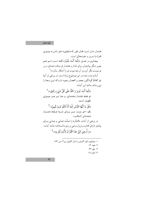## آیه انذار

هشدار دادن است، همان طور که «تبشیر» خبر دادن به چــبزی همراه با سرور و خوشحالي است. بیضاوی در تفسیر ﴿إِنَّمَا أَنْتَ مُنْذِرٌ﴾ گفته است: «تــو هــم چون دیگر پیامبران، برای انذار و هشدار فرستاده شدهای، و بر تو نيست مگر آوردن آن چه نبوت تو را آشكار سازد.»<sup>(</sup> آيات وارد شده در اين موضوع زياد است. در برخي از آنها نيز الفاظ گوناگون حصر و انحصار وجود دارد كه ايـن مـعنا را می رساند، مانند این آیات: ﴿إِنَّمَا أَنْتَ نَذِيرٌ وَ اللَّهُ عَلَى كُلِّ شَيْءٍ وَكِيلٍ﴾؛ ۚ تو فقط هُشدار دهندهای، و خدا بــر هــر چــیزی نگهبان است. ﴿قُلْ يَا أَيُّهَا النَّاسُ إِنَّمَا أَنَاْ لَكُمْ نَذِيرٌ مُّبِينٌ﴾؛ ٚ بگو: «ای مردم، مــن بــرای شــما فــقط هشــدار دهندهای آشکارم.» در ہرخے از آپات، «انذار» را عبلّت غبایی و نہبایی سرای پیامبر دارای کتاب و نزول وحی بر وی دانستهاند؛ مانند آیات: ﴿وَ أُوحِيَ إِلَيَّ هٰذَا الْقُرْآنُ لِأُنْذِرَكُمْ بِهِهِ؛ ۚ ۚ

> ٠. بيضاوى، انوار التنزيل و اسرار التأويل، ج ٣، ص ١٨٢. ۲. هود، ۱۲. ٣. حج، ۴۹. ۴. انعام، ۱۹.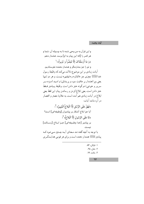و اين قرآن به من وحي شده تا به وسيله آن، شما و هر کس را [که این پیام به او] برسد، هشدار دهم. ﴿وَ مَا أَرْسَلْنَاكَ إِلَّا مُبَشِّراً وَ نَذِيراً﴾؛ ` و تو را جز بشارتگر و هشدار دهنده نفرستادیم. آيات زيادي بر اين موضوع دلالت مى كند كه وظيفهٔ رسول خدار السَّلَائِيَّةِ چِيزِي جز «انذار» و «تبشير» نيست، و هر دو اينها يعني ٻيم (هشدار ٻر عاقبت سوء و پر پشاني) و امـيد (مـژ ده ٻـر سر ور و خوشي) دو گونه خبر دادن است. وظيفهٔ پـيامبر فـقط خبر دادن است، يعني ابلاغ كردن و رساندن پيام. اين لفظ يعني ابلاغ در آيات زيادي هم آمده است، به علاوة حصر و انحصار در آن؛ مانند آيات: ﴿فَهَلْ عَلَى الرُّسُلِ اِلَّا الْبَلاغُ الْمُبِينُ﴾ <sup>٢</sup>؛ آیا جز ابلاغ آشکار بر پیامبران [وظیفها*ی*] است؟ ﴿مَّا عَلَى الرَّسُولِ اِلَّا الْبَلاغُ﴾ "؛ بر پيامبر [خدا وظـيفهاى] جـز ابـلاغ [رسـالت] .<br>نىست. با توجه به آنچه گفته شد مـعناي آيــه چــنين مــيشودكــه بيامبر تَأْلِيَّهُمْ هشدار دهنده است و براي هر قومي هدايتگر ي

> ١. فرقان، ۵۶. ٢. نحل، ٣۵. ۰۳ مائده، ۹۹.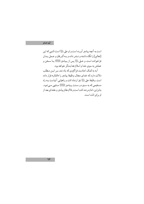## ۔<br>آیہ ان**ذار**

است به آنچه پیامبر آورده است و او علی ﷺ است؛کسی که این [تعاليم] را نگاه داشته و نــشر داده و بــه گــرفتن و عــمل بــدان فراخوانده است، و عــلى الخَّالِهِ پس از پــيامبر ﷺ بـا سـخن و عملش به سوي خدا و اسلام هدايتگر خواهد بود. آیه به کمک احادیث فراگیری که یاد شد، بـر ایـن مـطلب دلالت دار د که خدای متعال، وظیفهٔ بیامبر را «انذار» قرار داده است. وظيفةً على اللَّيَّالِ نيز ارشاد امّت و راهنمايي آنهاست بــه راه مستقیمی که به ســیره و ســنت پــیامبر گَاپْگَنَگَهُ مــنتهی مــیشود. بنابراین، امام مرشد امّت است و قائم مقام پیامبر و مقتدای بعد از او برای امّت است.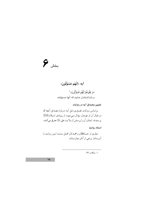## $\epsilon$ بخش

## اً يه ﴿اِنَّهُم مَّسْؤُلُونَ﴾ ﴿وَ قِفُوهُمْ اِنَّهُم مَّسْؤُلُونَ﴾ ا و بازداشتشان نمایید که آنها مسؤولند.

تعیین مصداق آیه در روایات

براساس روایات تفسیری ذیل آیه، دربارهٔ مصداق آنچه که در قبال آن از مؤمنان سؤال مـيشود، از پـيامبر اسـلامﷺ پرسیدند.ایشان آن را پرسش از ولایت علی اللَّهِ معرفی میکنند.

اسناد روايت

شماري از حسافظان و محـدثان اهـل سـنت ايـن روايت را آوردهاند. برخی از آنان عبارتاند:

٠١. صافات، ٢۴.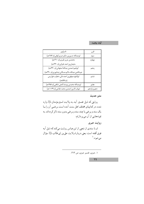| نام راوي                                          | قرن          |
|---------------------------------------------------|--------------|
| ابوعبدالله حسین بن حکم حبری کوفی (م ٢٨۶ هـ)       | سوم          |
| محمدبن جریر طبری(م ۳۱۰ هـ)                        | چهارم        |
| سليمان بن احمد طبراني (م ٣۶٠ هـ)                  |              |
| أبونُعَيم احمدبن عبدالله اصفهاني (م ۴۳۰ هـ)       | پنجم         |
| عبیداللهبن عبدالله حاکم حسکانی نیشابوری(م ۴۹۰ هـ) |              |
| ابوالمؤيد موفق بن احمد مكي، خطيب خوارزمي          | ششم          |
| (م ۵۶۸ هـ)                                        |              |
| ابوعبدالله محمدبن يوسف گنجي شافعي (م ۶۵۸ هـ)      | هفتم         |
| شهاب الدين احمدبن محمد خفاجي (م ١٠۶٩ هـ)          | دهم و يازدهم |

### متن حديث

روایتی که ذیل تفسیر آیه، به ولایت امــیرمؤمنان $\mathbb{P}$  وارد شده، در کتابهای مختلف اهل سنت آمده است، برخـی آن را بـا يک سند و برخي با چند سند و برخي بدون سند ذکر کردهاند. به نمونههايي از آن ميپردازيم:

روايت حبرى

او با سندی از شعبی از ابنءباس روایت میکند که ذیل آیه فوق گفته است: يعني دربارة ولايت علىبن ابي طالب اللَّهِ سؤال مىشود.<sup>۱</sup>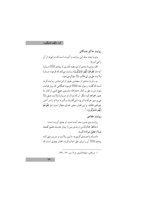اَيه ﴿اِنَّهُم مَّسْؤُلُونَ﴾

روايت حاكم حسكاني وي با چند سند اين روايت را آورده است كه دو نمونه از آن را مبي آو ديم: الف \_وي با سندي از ابو سعيد خُدري از پيامبر ﷺ دربارهٔ آيه ﴿وَ قِفُوهُمْ إِنَّهُم مَّسْؤُلُونَ﴾ روايت مىكندكه فرمود: دربارة ولايت على بن ابي طالب ﷺ سؤال مي شو د. ب ـ او با سندي از سعيدبن جبير از ابن عباس روايت كر ده است که گفت: رسول خداﷺ فرمود: هنگامی که روز قیامت شود، من و على بر كنار «صراط» بايستيم، هيچ كسي از كنار ما عبور نخواهدكرد مگر آن كه مـا از او دربـارهٔ ولايت عـلى لِكَيْلاً مي پرسيم. هركه با او بود (ميگذرد)، و گـرنه مـا او را در آتش خواهيم افكند. و اين همان سخن خداي متعال است: ﴿وَ قِفُوهُمْ اتَّهُم مَّسْؤُلُونَ﴾. `

روايت خفاجي

ر وايت وي بدون سند آمده است. او چنین آور ده است: «حافظ جمالالدین زرندی پس از بیان حدیث «مـن کـنت مو لاه فعليّ مو لاه»گو يد: «امسام واحسدي گويد: «اين ولايت و سريبر ستي كـه ییامبر پَیْنَیْنَیْ آن را برای علی اثبات کرده، همان چیزی است که

١. حسكاني، شواهدالتنزيل، ج ٢، ص ١٤٠ ـ ١۶۴.

 $7V$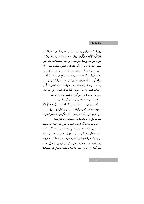روز قـیامت از آن پـرسش مـیشود.» در تـفسیر کـلام الهــی ﴿وَقِفُوهُمْ إِنَّهُم مَّسْؤُلُونَ﴾ روايت شده است: يعني دربارة ولايت علي و اهل بيت پرسش مي شود. زيرا خداوند متعال به پيامبرش دستور داده که مردم را آگاه کند که بر تبلیغ رسالت، چــیزی از آنان نمي خواهد مگر مودّت و دوستي اهل بيت را. مـعناي ايـن مطلب آن است كه ايشان مورد پر سش واقع مي شوند. انتظار و توقع آن است كه دربارهٔ اهل بيت پـيامبر، مـوالات و دوســق رعايت شود، همانگونه كه پيامبر خواسته است، نه اين كه آنان را ضایع کنند و به حال خود واگذارند که البته در این صورت، مورد بازخواست قرار مى گيرند و تبعاتى به دنبال دارد. دو روايت مؤيد مطلب فوق بيان كر ده است: الف \_روايتي از عبدالله بن انس كه گفت: رسول خــداً ﷺ

فرمود: هنگامی که روز قیامت شود و بر کنارهٔ جهنم پلی نصب شود، هیچ کس از آن عبور نخواهد کرد مگر این که به همراه خود، .<br>نامهٔ دوستی و ولایت علی بن ابی طالب را داشته باشد.

ب ــ پیامبر ﷺ فرمود: قسم به کسی کــه جــانم در دست اوست، روز قیامت قدمی از قدم بر داشته نمی شود مگـر آنکـه خدای متعال از هر کس در مورد چهار چیز می پرسد: عمرش که در چه راه گذرانده، بدنش که در چه راه فر سوده، مالش که از چه راهي كسب و در چه راهي خرج كرده و دوستي ما اهـل بـيت، عمر گفت: اي پيامبر خدا، علامت و نشانهٔ دوستي شا چيست؟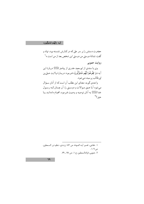ا**َيه ﴿اِنَّهُم مَّسْؤُلُونَ﴾** 

حضرت دستش را بر سر على كه در كنارش نشسته بود، نهاد و گفت: نشانهٔ دوستی من دوستی این شخص بعد از من است.» <sup>۱</sup> روايت حمويي وي با سندي از ابوسعيد خدري از ميامبر ﷺ دربارۂ اين آيه ﴿وَ قِفُوهُمْ إِنَّهُم مَّسْؤُلُونَ﴾ فـرمود: دربـارة ولايت عـلىبن ايي طالب پر سيده مي شود. واحدي گويد: معناي اين مطلب آن است كه از آنان سـؤال مي شود آيا حــق مــوالات و دوســتي را، آن چــنان كــه رســول خدار الله عنه الله عنه الله عنه و وصيت فـرمود. انجــام دادهانــد يــا خىر؟٢

١. خفاجي، تفسير آيـه المـودة، ص ٨٢؛ زرنـدي، نـظم درر السـمطين، ص ۱۰۹. ٢. حمويي، فرائدالسمطين، ج ١، ص ٧٨ ـ ٧٩.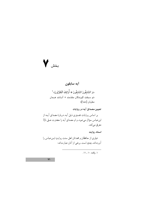

## أيه سابقون

﴿وَ السَّابِقُونَ السَّابِقُونَ ۞ أُوْلئِكَ الْمُقَرَّبُونَ﴾ ْ ﴿و سبقت گيرندگان مقدّمند ۞ آنـانند هــمان مقرّبان [خدا]﴾

تعیین مصداق آیه در روایات

بر اساس روایات تفسیری ذیل آیه، دربارهٔ مصداق آیــه از ابن عباس سؤال مي شود، و او مصداق آيه را حضرت عـلى الثِّلا معرفي ميكند.

اسناد روايت

شماري از حافظان و محدثان اهل سنت روايتِ ابـنعباس را آوردهاند، چنین است. برخی از آنان عبارتاند:

١. واقعه، ١٠ ـ ١١.

 $Y<sub>1</sub>$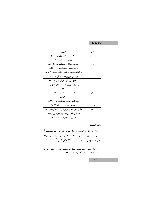| نام راوي                                         | قرن   |
|--------------------------------------------------|-------|
| محمدبن أبي حاتم رازي (م ٣٢٧ هـ)                  | چهارم |
| سلیمان بن احمد طبرانی (م ۳۶۰ هـ)                 |       |
| محمدبن عبدالله حاكم نيشابوري (م ۴۰۵ هـ)          | ينجم  |
| أبونعيم احمدبن عبدالله اصفهاني (م ۴۳۰ هـ)        |       |
| ابوبکر احمدبن علی بن ثابت، خطیب بغدادی (م۴۶۳ هـ) |       |
| ابوالحسن على بن محمد مغازلي (م ۴۸۳ هـ)           |       |
| ابوشجاع شيرويهبن شهردار ديلمي (م ۵۰۹ هـ)         | ششم   |
| ابوالمؤيد موفق بن احمد مكي، خطيب خوارزمي         |       |
| (م ۵۶۸ هـ)                                       |       |
| ابوالمظفر، یوسفبن قِزاوغلی، سبط ابن جوزی         | هفتم  |
| (م ۶۵۴هـ)                                        |       |
| محب الدين، احمدبن عبدالله طبري (م ۶۹۴ هـ)        |       |
| ابراهيم بن محمدبن مؤيّد (م ٧٢٢ هـ)               | هشتم  |
| جلال الدین عبدالرحمن بن ابی بکر سیوطی (م ۹۱۱ هـ) | دهم   |
| شهاب الدين احمدبن محمدبن حجر مكّى (م ٩٧٣ هـ)     |       |
| على بن حسام الدين متّقى (م ٩٧۵ هـ)               |       |

متن حديث

متن روايت ابنءباس با اختلاف در نقل مواجــه نــيست. از اینروه، این متن در قالب اسناد متعدد روایت شده است. بـرای عدم تکرار روایت به ذکر دو نمونه اکتفا میکنیم. <sup>۱</sup>

١. برای دیدن اسناد بیشتر: بنگرید: حسینی میلانی، علی، خلاصه عبقات الانوار، مجلد آيات ولايت، ص ۴۹۳ ـ ۴۹۴.

 $Y\Upsilon$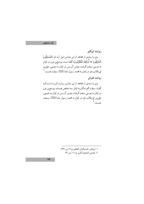آيه سابقون

روايت ابنكثير وي با سندي از مجاهد از ابن عباس ذيل آيه ﴿وَ السَّـابِقُونَ السَّابِقُونَ \* أُوْلئِكَ الْمُقَرَّبُونَ﴾ كَفته است: يوشعبن نون در ايمان به موسى سبقت گرفت، مؤمن آل يس در ايمان به عيسى، علىبن ابي طالب نيز در ايمان به محمد رسول خدا گَلَپْتَنَارَ سبقت جست. ١

روايت طبرانى

وی با سندی از مجاهد از این عباس روایت که ده است کـه گفت: سبقت گیرندگان به ایمان سه شخص هستند: یوشع بن نون در ایمان به موسی سبقت گرفت، مؤمن آل یس در ایمان به عیسی، علىبن ابي طالب نيز در ايمان به محمد رسول خداﷺ سـبقت جست.٢

 $VT$ 

١. ابن كثير، تفسيرالقرآن العظيم، ج ٢، ص ٢٢٩. ٢. طبراني، المعجم الكبير، ج ١١، ص ٩٣.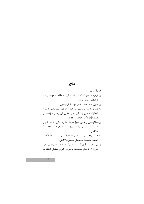## منابع

۰۱ قرآن کریم ابن تيميه، مـنهاج السـنّة النـبويّة، تـحقيق: عـبدالله مـحمود، بـيروت، دارالكتب العلميه، بي تا. ابن حنبل، احمد، مسند، مصر، مؤسسة قرطبه، بي¤ا. ابنطاووس، احمدبن موسى، بناء المقالة الفاطمية فـي نـقض الرسـاله الثمانية، تصحيح و تحقيق: على عدناني غريفي، قم، مـؤسسه آل البيت الطَّيْلاُ لأحياء التراث، ١۴١١ ق. ابنءساكر، علي بن حسن، تاريخ مدينة دمشق، تحقيق: مـحب الديـن ابسي سعيد عـمربن غـرامـة عـمري، بـيروت، دارالفكـر، ١٩٩۵ م /  $.51810$ ابنكثير، اسماعيلبن عمر، تفسير القـرأن العـظيم، بـيروت، دار الكـتب العلمية، منشورات محمدعلى بيضون، ١۴١٩ق. ابونعيم اصفهاني، النـور المشـتعل مـن كـتاب مـانزل مـن القـراَن فـي على الثِّالِهِ، تحقيق: محمدباقر محمودي، تهران، سازمان انـتشارات

**Yo**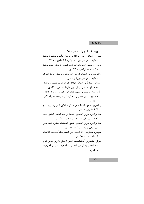## آيات ولايت

 $V\mathcal{A}$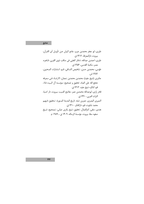## منابع<br>منابع

 $\mathsf{v}\mathsf{v}$